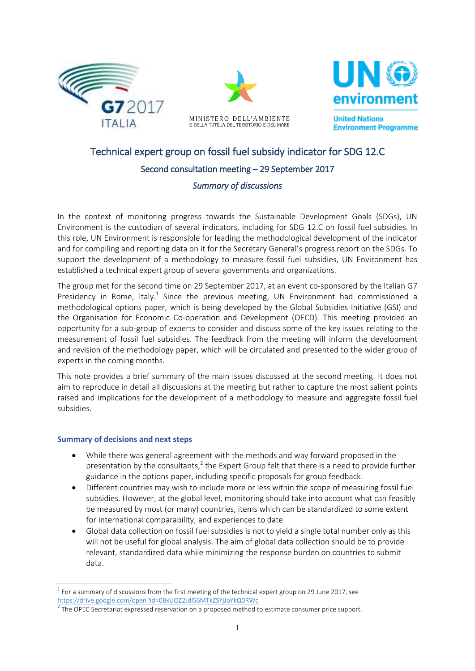





**Environment Programme** 

# Technical expert group on fossil fuel subsidy indicator for SDG 12.C Second consultation meeting – 29 September 2017 *Summary of discussions*

In the context of monitoring progress towards the Sustainable Development Goals (SDGs), UN Environment is the custodian of several indicators, including for SDG 12.C on fossil fuel subsidies. In this role, UN Environment is responsible for leading the methodological development of the indicator and for compiling and reporting data on it for the Secretary General's progress report on the SDGs. To support the development of a methodology to measure fossil fuel subsidies, UN Environment has established a technical expert group of several governments and organizations.

The group met for the second time on 29 September 2017, at an event co-sponsored by the Italian G7 Presidency in Rome, Italy.<sup>1</sup> Since the previous meeting, UN Environment had commissioned a methodological options paper, which is being developed by the Global Subsidies Initiative (GSI) and the Organisation for Economic Co-operation and Development (OECD). This meeting provided an opportunity for a sub-group of experts to consider and discuss some of the key issues relating to the measurement of fossil fuel subsidies. The feedback from the meeting will inform the development and revision of the methodology paper, which will be circulated and presented to the wider group of experts in the coming months.

This note provides a brief summary of the main issues discussed at the second meeting. It does not aim to reproduce in detail all discussions at the meeting but rather to capture the most salient points raised and implications for the development of a methodology to measure and aggregate fossil fuel subsidies.

#### **Summary of decisions and next steps**

1

- While there was general agreement with the methods and way forward proposed in the presentation by the consultants, $^2$  the Expert Group felt that there is a need to provide further guidance in the options paper, including specific proposals for group feedback.
- Different countries may wish to include more or less within the scope of measuring fossil fuel subsidies. However, at the global level, monitoring should take into account what can feasibly be measured by most (or many) countries, items which can be standardized to some extent for international comparability, and experiences to date.
- Global data collection on fossil fuel subsidies is not to yield a single total number only as this will not be useful for global analysis. The aim of global data collection should be to provide relevant, standardized data while minimizing the response burden on countries to submit data.

 $^{1}$  For a summary of discussions from the first meeting of the technical expert group on 29 June 2017, see <https://drive.google.com/open?id=0BxUOZ2JdlS6MTkZSYjJoYkQ0RWc>

 $2$  The OPEC Secretariat expressed reservation on a proposed method to estimate consumer price support.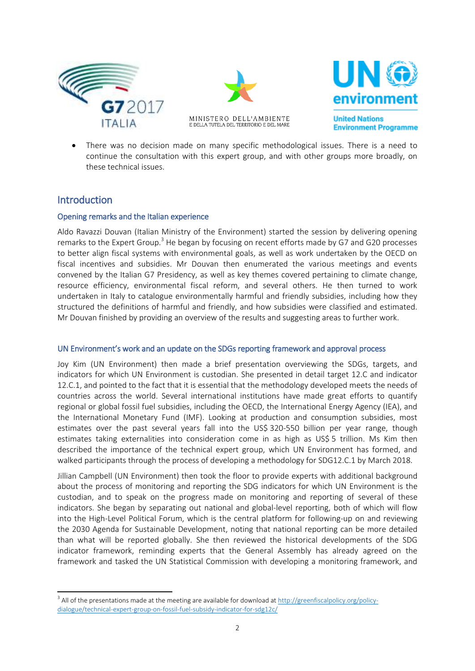





**Environment Programme** 

 There was no decision made on many specific methodological issues. There is a need to continue the consultation with this expert group, and with other groups more broadly, on these technical issues.

## Introduction

**.** 

#### Opening remarks and the Italian experience

Aldo Ravazzi Douvan (Italian Ministry of the Environment) started the session by delivering opening remarks to the Expert Group.<sup>3</sup> He began by focusing on recent efforts made by G7 and G20 processes to better align fiscal systems with environmental goals, as well as work undertaken by the OECD on fiscal incentives and subsidies. Mr Douvan then enumerated the various meetings and events convened by the Italian G7 Presidency, as well as key themes covered pertaining to climate change, resource efficiency, environmental fiscal reform, and several others. He then turned to work undertaken in Italy to catalogue environmentally harmful and friendly subsidies, including how they structured the definitions of harmful and friendly, and how subsidies were classified and estimated. Mr Douvan finished by providing an overview of the results and suggesting areas to further work.

#### UN Environment's work and an update on the SDGs reporting framework and approval process

Joy Kim (UN Environment) then made a brief presentation overviewing the SDGs, targets, and indicators for which UN Environment is custodian. She presented in detail target 12.C and indicator 12.C.1, and pointed to the fact that it is essential that the methodology developed meets the needs of countries across the world. Several international institutions have made great efforts to quantify regional or global fossil fuel subsidies, including the OECD, the International Energy Agency (IEA), and the International Monetary Fund (IMF). Looking at production and consumption subsidies, most estimates over the past several years fall into the US\$ 320-550 billion per year range, though estimates taking externalities into consideration come in as high as US\$ 5 trillion. Ms Kim then described the importance of the technical expert group, which UN Environment has formed, and walked participants through the process of developing a methodology for SDG12.C.1 by March 2018.

Jillian Campbell (UN Environment) then took the floor to provide experts with additional background about the process of monitoring and reporting the SDG indicators for which UN Environment is the custodian, and to speak on the progress made on monitoring and reporting of several of these indicators. She began by separating out national and global-level reporting, both of which will flow into the High-Level Political Forum, which is the central platform for following-up on and reviewing the 2030 Agenda for Sustainable Development, noting that national reporting can be more detailed than what will be reported globally. She then reviewed the historical developments of the SDG indicator framework, reminding experts that the General Assembly has already agreed on the framework and tasked the UN Statistical Commission with developing a monitoring framework, and

<sup>&</sup>lt;sup>3</sup> All of the presentations made at the meeting are available for download a[t http://greenfiscalpolicy.org/policy](http://greenfiscalpolicy.org/policy-dialogue/technical-expert-group-on-fossil-fuel-subsidy-indicator-for-sdg12c/)[dialogue/technical-expert-group-on-fossil-fuel-subsidy-indicator-for-sdg12c/](http://greenfiscalpolicy.org/policy-dialogue/technical-expert-group-on-fossil-fuel-subsidy-indicator-for-sdg12c/)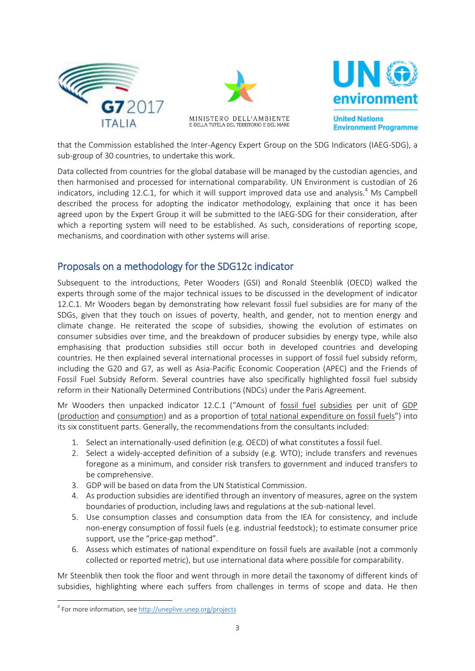



that the Commission established the Inter-Agency Expert Group on the SDG Indicators (IAEG-SDG), a sub-group of 30 countries, to undertake this work.

Data collected from countries for the global database will be managed by the custodian agencies, and then harmonised and processed for international comparability. UN Environment is custodian of 26 indicators, including 12.C.1, for which it will support improved data use and analysis.<sup>4</sup> Ms Campbell described the process for adopting the indicator methodology, explaining that once it has been agreed upon by the Expert Group it will be submitted to the IAEG-SDG for their consideration, after which a reporting system will need to be established. As such, considerations of reporting scope, mechanisms, and coordination with other systems will arise.

# Proposals on a methodology for the SDG12c indicator

Subsequent to the introductions, Peter Wooders (GSI) and Ronald Steenblik (OECD) walked the experts through some of the major technical issues to be discussed in the development of indicator 12.C.1. Mr Wooders began by demonstrating how relevant fossil fuel subsidies are for many of the SDGs, given that they touch on issues of poverty, health, and gender, not to mention energy and climate change. He reiterated the scope of subsidies, showing the evolution of estimates on consumer subsidies over time, and the breakdown of producer subsidies by energy type, while also emphasising that production subsidies still occur both in developed countries and developing countries. He then explained several international processes in support of fossil fuel subsidy reform, including the G20 and G7, as well as Asia-Pacific Economic Cooperation (APEC) and the Friends of Fossil Fuel Subsidy Reform. Several countries have also specifically highlighted fossil fuel subsidy reform in their Nationally Determined Contributions (NDCs) under the Paris Agreement.

Mr Wooders then unpacked indicator 12.C.1 ("Amount of fossil fuel subsidies per unit of GDP (production and consumption) and as a proportion of total national expenditure on fossil fuels") into its six constituent parts. Generally, the recommendations from the consultants included:

- 1. Select an internationally-used definition (e.g. OECD) of what constitutes a fossil fuel.
- 2. Select a widely-accepted definition of a subsidy (e.g. WTO); include transfers and revenues foregone as a minimum, and consider risk transfers to government and induced transfers to be comprehensive.
- 3. GDP will be based on data from the UN Statistical Commission.
- 4. As production subsidies are identified through an inventory of measures, agree on the system boundaries of production, including laws and regulations at the sub-national level.
- 5. Use consumption classes and consumption data from the IEA for consistency, and include non-energy consumption of fossil fuels (e.g. industrial feedstock); to estimate consumer price support, use the "price-gap method".
- 6. Assess which estimates of national expenditure on fossil fuels are available (not a commonly collected or reported metric), but use international data where possible for comparability.

Mr Steenblik then took the floor and went through in more detail the taxonomy of different kinds of subsidies, highlighting where each suffers from challenges in terms of scope and data. He then

**.** 

<sup>&</sup>lt;sup>4</sup> For more information, see<http://uneplive.unep.org/projects>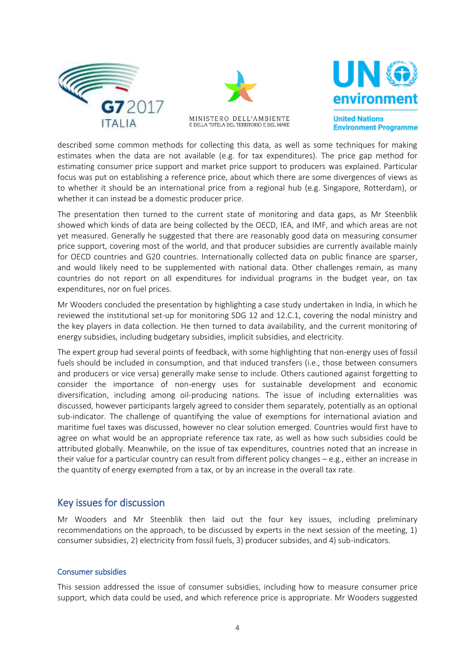





**United Nations Environment Programme** 

described some common methods for collecting this data, as well as some techniques for making estimates when the data are not available (e.g. for tax expenditures). The price gap method for estimating consumer price support and market price support to producers was explained. Particular focus was put on establishing a reference price, about which there are some divergences of views as to whether it should be an international price from a regional hub (e.g. Singapore, Rotterdam), or whether it can instead be a domestic producer price.

The presentation then turned to the current state of monitoring and data gaps, as Mr Steenblik showed which kinds of data are being collected by the OECD, IEA, and IMF, and which areas are not yet measured. Generally he suggested that there are reasonably good data on measuring consumer price support, covering most of the world, and that producer subsidies are currently available mainly for OECD countries and G20 countries. Internationally collected data on public finance are sparser, and would likely need to be supplemented with national data. Other challenges remain, as many countries do not report on all expenditures for individual programs in the budget year, on tax expenditures, nor on fuel prices.

Mr Wooders concluded the presentation by highlighting a case study undertaken in India, in which he reviewed the institutional set-up for monitoring SDG 12 and 12.C.1, covering the nodal ministry and the key players in data collection. He then turned to data availability, and the current monitoring of energy subsidies, including budgetary subsidies, implicit subsidies, and electricity.

The expert group had several points of feedback, with some highlighting that non-energy uses of fossil fuels should be included in consumption, and that induced transfers (i.e., those between consumers and producers or vice versa) generally make sense to include. Others cautioned against forgetting to consider the importance of non-energy uses for sustainable development and economic diversification, including among oil-producing nations. The issue of including externalities was discussed, however participants largely agreed to consider them separately, potentially as an optional sub-indicator. The challenge of quantifying the value of exemptions for international aviation and maritime fuel taxes was discussed, however no clear solution emerged. Countries would first have to agree on what would be an appropriate reference tax rate, as well as how such subsidies could be attributed globally. Meanwhile, on the issue of tax expenditures, countries noted that an increase in their value for a particular country can result from different policy changes – e.g., either an increase in the quantity of energy exempted from a tax, or by an increase in the overall tax rate.

## Key issues for discussion

Mr Wooders and Mr Steenblik then laid out the four key issues, including preliminary recommendations on the approach, to be discussed by experts in the next session of the meeting, 1) consumer subsidies, 2) electricity from fossil fuels, 3) producer subsides, and 4) sub-indicators.

#### Consumer subsidies

This session addressed the issue of consumer subsidies, including how to measure consumer price support, which data could be used, and which reference price is appropriate. Mr Wooders suggested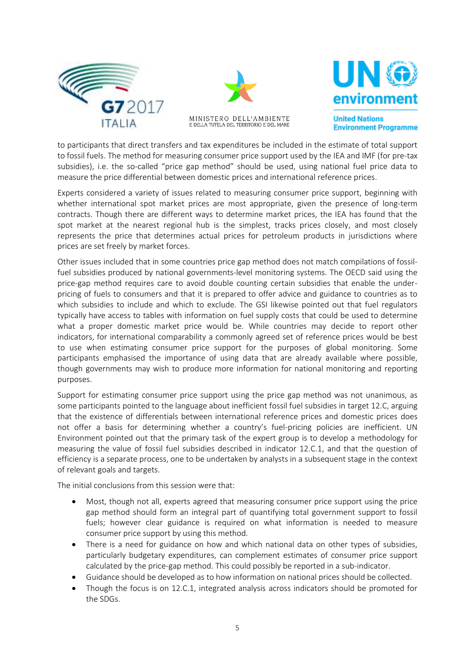





**United Nations Environment Programme** 

to participants that direct transfers and tax expenditures be included in the estimate of total support to fossil fuels. The method for measuring consumer price support used by the IEA and IMF (for pre-tax subsidies), i.e. the so-called "price gap method" should be used, using national fuel price data to measure the price differential between domestic prices and international reference prices.

Experts considered a variety of issues related to measuring consumer price support, beginning with whether international spot market prices are most appropriate, given the presence of long-term contracts. Though there are different ways to determine market prices, the IEA has found that the spot market at the nearest regional hub is the simplest, tracks prices closely, and most closely represents the price that determines actual prices for petroleum products in jurisdictions where prices are set freely by market forces.

Other issues included that in some countries price gap method does not match compilations of fossilfuel subsidies produced by national governments-level monitoring systems. The OECD said using the price-gap method requires care to avoid double counting certain subsidies that enable the underpricing of fuels to consumers and that it is prepared to offer advice and guidance to countries as to which subsidies to include and which to exclude. The GSI likewise pointed out that fuel regulators typically have access to tables with information on fuel supply costs that could be used to determine what a proper domestic market price would be. While countries may decide to report other indicators, for international comparability a commonly agreed set of reference prices would be best to use when estimating consumer price support for the purposes of global monitoring. Some participants emphasised the importance of using data that are already available where possible, though governments may wish to produce more information for national monitoring and reporting purposes.

Support for estimating consumer price support using the price gap method was not unanimous, as some participants pointed to the language about inefficient fossil fuel subsidies in target 12.C, arguing that the existence of differentials between international reference prices and domestic prices does not offer a basis for determining whether a country's fuel-pricing policies are inefficient. UN Environment pointed out that the primary task of the expert group is to develop a methodology for measuring the value of fossil fuel subsidies described in indicator 12.C.1, and that the question of efficiency is a separate process, one to be undertaken by analysts in a subsequent stage in the context of relevant goals and targets.

The initial conclusions from this session were that:

- Most, though not all, experts agreed that measuring consumer price support using the price gap method should form an integral part of quantifying total government support to fossil fuels; however clear guidance is required on what information is needed to measure consumer price support by using this method.
- There is a need for guidance on how and which national data on other types of subsidies, particularly budgetary expenditures, can complement estimates of consumer price support calculated by the price-gap method. This could possibly be reported in a sub-indicator.
- Guidance should be developed as to how information on national prices should be collected.
- Though the focus is on 12.C.1, integrated analysis across indicators should be promoted for the SDGs.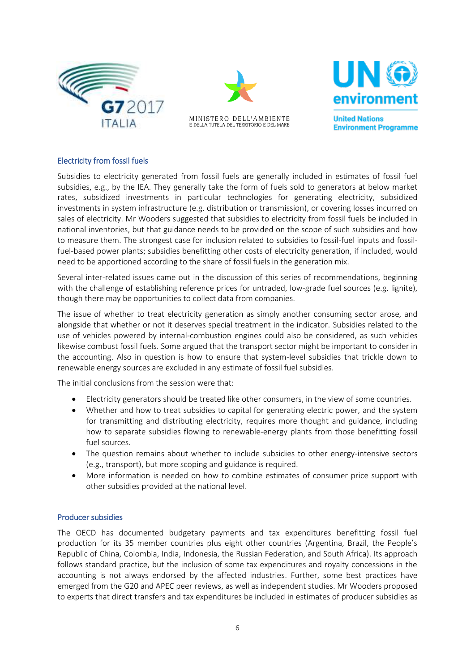





#### Electricity from fossil fuels

Subsidies to electricity generated from fossil fuels are generally included in estimates of fossil fuel subsidies, e.g., by the IEA. They generally take the form of fuels sold to generators at below market rates, subsidized investments in particular technologies for generating electricity, subsidized investments in system infrastructure (e.g. distribution or transmission), or covering losses incurred on sales of electricity. Mr Wooders suggested that subsidies to electricity from fossil fuels be included in national inventories, but that guidance needs to be provided on the scope of such subsidies and how to measure them. The strongest case for inclusion related to subsidies to fossil-fuel inputs and fossilfuel-based power plants; subsidies benefitting other costs of electricity generation, if included, would need to be apportioned according to the share of fossil fuels in the generation mix.

Several inter-related issues came out in the discussion of this series of recommendations, beginning with the challenge of establishing reference prices for untraded, low-grade fuel sources (e.g. lignite), though there may be opportunities to collect data from companies.

The issue of whether to treat electricity generation as simply another consuming sector arose, and alongside that whether or not it deserves special treatment in the indicator. Subsidies related to the use of vehicles powered by internal-combustion engines could also be considered, as such vehicles likewise combust fossil fuels. Some argued that the transport sector might be important to consider in the accounting. Also in question is how to ensure that system-level subsidies that trickle down to renewable energy sources are excluded in any estimate of fossil fuel subsidies.

The initial conclusions from the session were that:

- Electricity generators should be treated like other consumers, in the view of some countries.
- Whether and how to treat subsidies to capital for generating electric power, and the system for transmitting and distributing electricity, requires more thought and guidance, including how to separate subsidies flowing to renewable-energy plants from those benefitting fossil fuel sources.
- The question remains about whether to include subsidies to other energy-intensive sectors (e.g., transport), but more scoping and guidance is required.
- More information is needed on how to combine estimates of consumer price support with other subsidies provided at the national level.

#### Producer subsidies

The OECD has documented budgetary payments and tax expenditures benefitting fossil fuel production for its 35 member countries plus eight other countries (Argentina, Brazil, the People's Republic of China, Colombia, India, Indonesia, the Russian Federation, and South Africa). Its approach follows standard practice, but the inclusion of some tax expenditures and royalty concessions in the accounting is not always endorsed by the affected industries. Further, some best practices have emerged from the G20 and APEC peer reviews, as well as independent studies. Mr Wooders proposed to experts that direct transfers and tax expenditures be included in estimates of producer subsidies as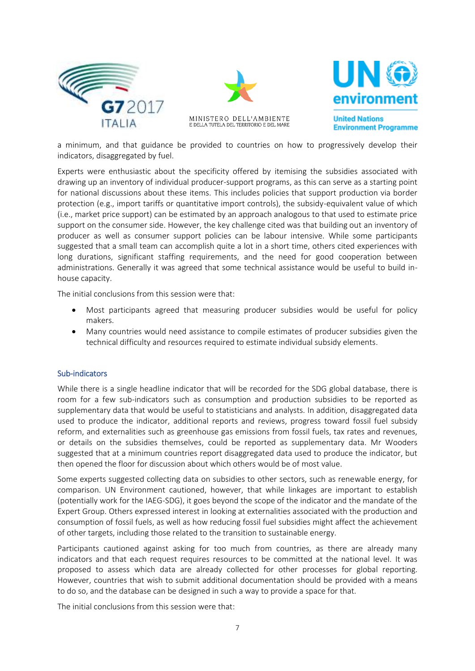





a minimum, and that guidance be provided to countries on how to progressively develop their indicators, disaggregated by fuel.

Experts were enthusiastic about the specificity offered by itemising the subsidies associated with drawing up an inventory of individual producer-support programs, as this can serve as a starting point for national discussions about these items. This includes policies that support production via border protection (e.g., import tariffs or quantitative import controls), the subsidy-equivalent value of which (i.e., market price support) can be estimated by an approach analogous to that used to estimate price support on the consumer side. However, the key challenge cited was that building out an inventory of producer as well as consumer support policies can be labour intensive. While some participants suggested that a small team can accomplish quite a lot in a short time, others cited experiences with long durations, significant staffing requirements, and the need for good cooperation between administrations. Generally it was agreed that some technical assistance would be useful to build inhouse capacity.

The initial conclusions from this session were that:

- Most participants agreed that measuring producer subsidies would be useful for policy makers.
- Many countries would need assistance to compile estimates of producer subsidies given the technical difficulty and resources required to estimate individual subsidy elements.

#### Sub-indicators

While there is a single headline indicator that will be recorded for the SDG global database, there is room for a few sub-indicators such as consumption and production subsidies to be reported as supplementary data that would be useful to statisticians and analysts. In addition, disaggregated data used to produce the indicator, additional reports and reviews, progress toward fossil fuel subsidy reform, and externalities such as greenhouse gas emissions from fossil fuels, tax rates and revenues, or details on the subsidies themselves, could be reported as supplementary data. Mr Wooders suggested that at a minimum countries report disaggregated data used to produce the indicator, but then opened the floor for discussion about which others would be of most value.

Some experts suggested collecting data on subsidies to other sectors, such as renewable energy, for comparison. UN Environment cautioned, however, that while linkages are important to establish (potentially work for the IAEG-SDG), it goes beyond the scope of the indicator and the mandate of the Expert Group. Others expressed interest in looking at externalities associated with the production and consumption of fossil fuels, as well as how reducing fossil fuel subsidies might affect the achievement of other targets, including those related to the transition to sustainable energy.

Participants cautioned against asking for too much from countries, as there are already many indicators and that each request requires resources to be committed at the national level. It was proposed to assess which data are already collected for other processes for global reporting. However, countries that wish to submit additional documentation should be provided with a means to do so, and the database can be designed in such a way to provide a space for that.

The initial conclusions from this session were that: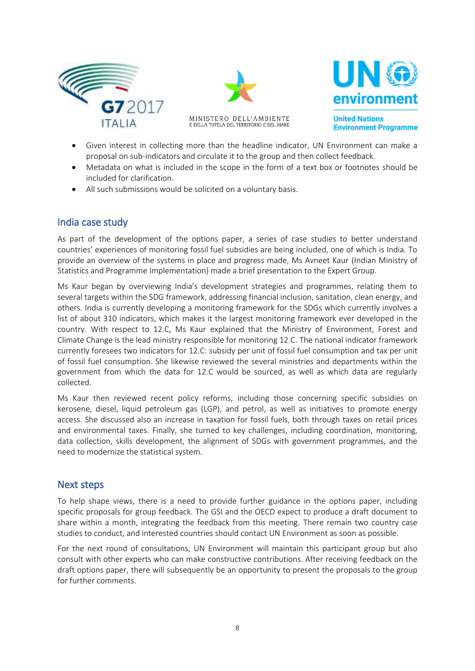





**Environment Programme** 

- Given interest in collecting more than the headline indicator, UN Environment can make a proposal on sub-indicators and circulate it to the group and then collect feedback.
- Metadata on what is included in the scope in the form of a text box or footnotes should be included for clarification.
- All such submissions would be solicited on a voluntary basis.

# India case study

As part of the development of the options paper, a series of case studies to better understand countries' experiences of monitoring fossil fuel subsidies are being included, one of which is India. To provide an overview of the systems in place and progress made, Ms Avneet Kaur (Indian Ministry of Statistics and Programme Implementation) made a brief presentation to the Expert Group.

Ms Kaur began by overviewing India's development strategies and programmes, relating them to several targets within the SDG framework, addressing financial inclusion, sanitation, clean energy, and others. India is currently developing a monitoring framework for the SDGs which currently involves a list of about 310 indicators, which makes it the largest monitoring framework ever developed in the country. With respect to 12.C, Ms Kaur explained that the Ministry of Environment, Forest and Climate Change is the lead ministry responsible for monitoring 12.C. The national indicator framework currently foresees two indicators for 12.C: subsidy per unit of fossil fuel consumption and tax per unit of fossil fuel consumption. She likewise reviewed the several ministries and departments within the government from which the data for 12.C would be sourced, as well as which data are regularly collected.

Ms Kaur then reviewed recent policy reforms, including those concerning specific subsidies on kerosene, diesel, liquid petroleum gas (LGP), and petrol, as well as initiatives to promote energy access. She discussed also an increase in taxation for fossil fuels, both through taxes on retail prices and environmental taxes. Finally, she turned to key challenges, including coordination, monitoring, data collection, skills development, the alignment of SDGs with government programmes, and the need to modernize the statistical system.

## Next steps

To help shape views, there is a need to provide further guidance in the options paper, including specific proposals for group feedback. The GSI and the OECD expect to produce a draft document to share within a month, integrating the feedback from this meeting. There remain two country case studies to conduct, and interested countries should contact UN Environment as soon as possible.

For the next round of consultations, UN Environment will maintain this participant group but also consult with other experts who can make constructive contributions. After receiving feedback on the draft options paper, there will subsequently be an opportunity to present the proposals to the group for further comments.